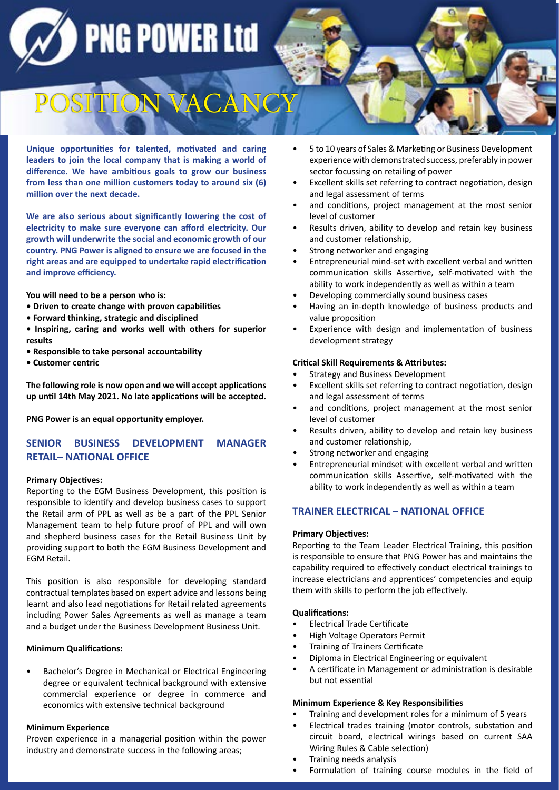**PNG POWER Ltd** 

# POSITION VA

**Unique opportunities for talented, motivated and caring leaders to join the local company that is making a world of difference. We have ambitious goals to grow our business from less than one million customers today to around six (6) million over the next decade.**

**We are also serious about significantly lowering the cost of electricity to make sure everyone can afford electricity. Our growth will underwrite the social and economic growth of our country. PNG Power is aligned to ensure we are focused in the right areas and are equipped to undertake rapid electrification and improve efficiency.**

**You will need to be a person who is:**

- **Driven to create change with proven capabilities**
- **Forward thinking, strategic and disciplined**
- **Inspiring, caring and works well with others for superior results**
- **Responsible to take personal accountability**
- **Customer centric**

**The following role is now open and we will accept applications up until 14th May 2021. No late applications will be accepted.** 

**PNG Power is an equal opportunity employer.**

# **SENIOR BUSINESS DEVELOPMENT MANAGER RETAIL– NATIONAL OFFICE**

## **Primary Objectives:**

Reporting to the EGM Business Development, this position is responsible to identify and develop business cases to support the Retail arm of PPL as well as be a part of the PPL Senior Management team to help future proof of PPL and will own and shepherd business cases for the Retail Business Unit by providing support to both the EGM Business Development and EGM Retail.

This position is also responsible for developing standard contractual templates based on expert advice and lessons being learnt and also lead negotiations for Retail related agreements including Power Sales Agreements as well as manage a team and a budget under the Business Development Business Unit.

## **Minimum Qualifications:**

• Bachelor's Degree in Mechanical or Electrical Engineering degree or equivalent technical background with extensive commercial experience or degree in commerce and economics with extensive technical background

#### **Minimum Experience**

Proven experience in a managerial position within the power industry and demonstrate success in the following areas;

- 5 to 10 years of Sales & Marketing or Business Development experience with demonstrated success, preferably in power sector focussing on retailing of power
- Excellent skills set referring to contract negotiation, design and legal assessment of terms
- and conditions, project management at the most senior level of customer
- Results driven, ability to develop and retain key business and customer relationship,
- Strong networker and engaging
- Entrepreneurial mind-set with excellent verbal and written communication skills Assertive, self-motivated with the ability to work independently as well as within a team
- Developing commercially sound business cases
- Having an in-depth knowledge of business products and value proposition
- Experience with design and implementation of business development strategy

#### **Critical Skill Requirements & Attributes:**

- Strategy and Business Development
- Excellent skills set referring to contract negotiation, design and legal assessment of terms
- and conditions, project management at the most senior level of customer
- Results driven, ability to develop and retain key business and customer relationship,
- Strong networker and engaging
- Entrepreneurial mindset with excellent verbal and written communication skills Assertive, self-motivated with the ability to work independently as well as within a team

# **TRAINER ELECTRICAL – NATIONAL OFFICE**

## **Primary Objectives:**

Reporting to the Team Leader Electrical Training, this position is responsible to ensure that PNG Power has and maintains the capability required to effectively conduct electrical trainings to increase electricians and apprentices' competencies and equip them with skills to perform the job effectively.

## **Qualifications:**

- Electrical Trade Certificate
- High Voltage Operators Permit
- Training of Trainers Certificate
- Diploma in Electrical Engineering or equivalent
- A certificate in Management or administration is desirable but not essential

#### **Minimum Experience & Key Responsibilities**

- Training and development roles for a minimum of 5 years
- Electrical trades training (motor controls, substation and circuit board, electrical wirings based on current SAA Wiring Rules & Cable selection)
- Training needs analysis
- Formulation of training course modules in the field of